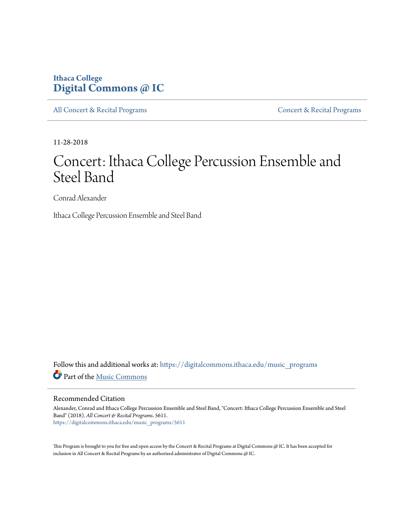## **Ithaca College [Digital Commons @ IC](https://digitalcommons.ithaca.edu?utm_source=digitalcommons.ithaca.edu%2Fmusic_programs%2F5611&utm_medium=PDF&utm_campaign=PDFCoverPages)**

[All Concert & Recital Programs](https://digitalcommons.ithaca.edu/music_programs?utm_source=digitalcommons.ithaca.edu%2Fmusic_programs%2F5611&utm_medium=PDF&utm_campaign=PDFCoverPages) **[Concert & Recital Programs](https://digitalcommons.ithaca.edu/som_programs?utm_source=digitalcommons.ithaca.edu%2Fmusic_programs%2F5611&utm_medium=PDF&utm_campaign=PDFCoverPages)** 

11-28-2018

# Concert: Ithaca College Percussion Ensemble and Steel Band

Conrad Alexander

Ithaca College Percussion Ensemble and Steel Band

Follow this and additional works at: [https://digitalcommons.ithaca.edu/music\\_programs](https://digitalcommons.ithaca.edu/music_programs?utm_source=digitalcommons.ithaca.edu%2Fmusic_programs%2F5611&utm_medium=PDF&utm_campaign=PDFCoverPages) Part of the [Music Commons](http://network.bepress.com/hgg/discipline/518?utm_source=digitalcommons.ithaca.edu%2Fmusic_programs%2F5611&utm_medium=PDF&utm_campaign=PDFCoverPages)

#### Recommended Citation

Alexander, Conrad and Ithaca College Percussion Ensemble and Steel Band, "Concert: Ithaca College Percussion Ensemble and Steel Band" (2018). *All Concert & Recital Programs*. 5611. [https://digitalcommons.ithaca.edu/music\\_programs/5611](https://digitalcommons.ithaca.edu/music_programs/5611?utm_source=digitalcommons.ithaca.edu%2Fmusic_programs%2F5611&utm_medium=PDF&utm_campaign=PDFCoverPages)

This Program is brought to you for free and open access by the Concert & Recital Programs at Digital Commons @ IC. It has been accepted for inclusion in All Concert & Recital Programs by an authorized administrator of Digital Commons @ IC.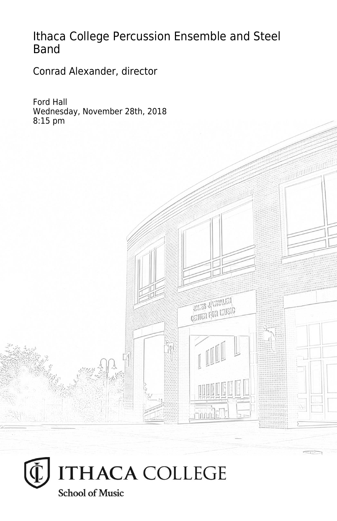## Ithaca College Percussion Ensemble and Steel Band

Conrad Alexander, director

Ford Hall Wednesday, November 28th, 2018 8:15 pm



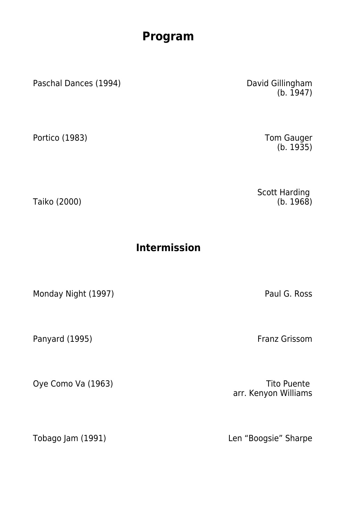### **Program**

Paschal Dances (1994) David Gillingham

Portico (1983) **No. 2. 1998** Tom Gauger

Taiko (2000)

**Intermission**

Monday Night (1997) **Paul G. Ross** 

Panyard (1995) Franz Grissom

 $(b. 1947)$ 

(b. 1935)

Scott Harding (b. 1968)

Oye Como Va (1963) Company of the Company of Tito Puente arr. Kenyon Williams

Tobago Jam (1991) Len "Boogsie" Sharpe